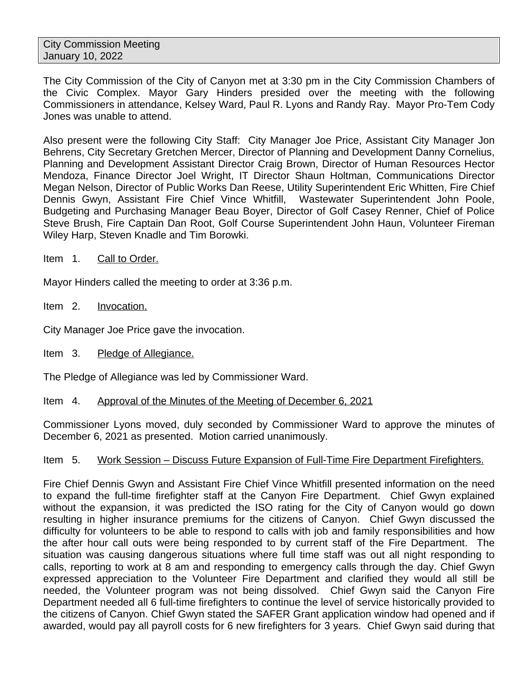The City Commission of the City of Canyon met at 3:30 pm in the City Commission Chambers of the Civic Complex. Mayor Gary Hinders presided over the meeting with the following Commissioners in attendance, Kelsey Ward, Paul R. Lyons and Randy Ray. Mayor Pro-Tem Cody Jones was unable to attend.

Also present were the following City Staff: City Manager Joe Price, Assistant City Manager Jon Behrens, City Secretary Gretchen Mercer, Director of Planning and Development Danny Cornelius, Planning and Development Assistant Director Craig Brown, Director of Human Resources Hector Mendoza, Finance Director Joel Wright, IT Director Shaun Holtman, Communications Director Megan Nelson, Director of Public Works Dan Reese, Utility Superintendent Eric Whitten, Fire Chief Dennis Gwyn, Assistant Fire Chief Vince Whitfill, Wastewater Superintendent John Poole, Budgeting and Purchasing Manager Beau Boyer, Director of Golf Casey Renner, Chief of Police Steve Brush, Fire Captain Dan Root, Golf Course Superintendent John Haun, Volunteer Fireman Wiley Harp, Steven Knadle and Tim Borowki.

Item 1. Call to Order.

Mayor Hinders called the meeting to order at 3:36 p.m.

Item 2. Invocation.

City Manager Joe Price gave the invocation.

Item 3. Pledge of Allegiance.

The Pledge of Allegiance was led by Commissioner Ward.

Item 4. Approval of the Minutes of the Meeting of December 6, 2021

Commissioner Lyons moved, duly seconded by Commissioner Ward to approve the minutes of December 6, 2021 as presented. Motion carried unanimously.

### Item 5. Work Session – Discuss Future Expansion of Full-Time Fire Department Firefighters.

Fire Chief Dennis Gwyn and Assistant Fire Chief Vince Whitfill presented information on the need to expand the full-time firefighter staff at the Canyon Fire Department. Chief Gwyn explained without the expansion, it was predicted the ISO rating for the City of Canyon would go down resulting in higher insurance premiums for the citizens of Canyon. Chief Gwyn discussed the difficulty for volunteers to be able to respond to calls with job and family responsibilities and how the after hour call outs were being responded to by current staff of the Fire Department. The situation was causing dangerous situations where full time staff was out all night responding to calls, reporting to work at 8 am and responding to emergency calls through the day. Chief Gwyn expressed appreciation to the Volunteer Fire Department and clarified they would all still be needed, the Volunteer program was not being dissolved. Chief Gwyn said the Canyon Fire Department needed all 6 full-time firefighters to continue the level of service historically provided to the citizens of Canyon. Chief Gwyn stated the SAFER Grant application window had opened and if awarded, would pay all payroll costs for 6 new firefighters for 3 years. Chief Gwyn said during that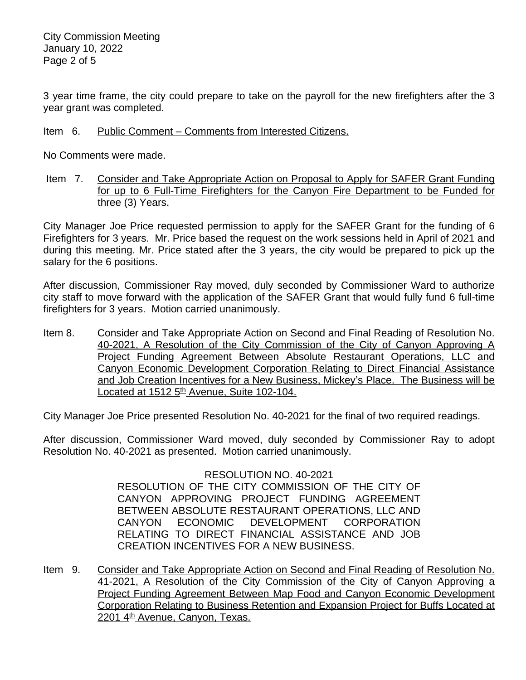3 year time frame, the city could prepare to take on the payroll for the new firefighters after the 3 year grant was completed.

# Item 6. Public Comment – Comments from Interested Citizens.

No Comments were made.

Item 7. Consider and Take Appropriate Action on Proposal to Apply for SAFER Grant Funding for up to 6 Full-Time Firefighters for the Canyon Fire Department to be Funded for three (3) Years.

City Manager Joe Price requested permission to apply for the SAFER Grant for the funding of 6 Firefighters for 3 years. Mr. Price based the request on the work sessions held in April of 2021 and during this meeting. Mr. Price stated after the 3 years, the city would be prepared to pick up the salary for the 6 positions.

After discussion, Commissioner Ray moved, duly seconded by Commissioner Ward to authorize city staff to move forward with the application of the SAFER Grant that would fully fund 6 full-time firefighters for 3 years. Motion carried unanimously.

Item 8. Consider and Take Appropriate Action on Second and Final Reading of Resolution No. 40-2021, A Resolution of the City Commission of the City of Canyon Approving A Project Funding Agreement Between Absolute Restaurant Operations, LLC and Canyon Economic Development Corporation Relating to Direct Financial Assistance and Job Creation Incentives for a New Business, Mickey's Place. The Business will be Located at 1512 5<sup>th</sup> Avenue, Suite 102-104.

City Manager Joe Price presented Resolution No. 40-2021 for the final of two required readings.

After discussion, Commissioner Ward moved, duly seconded by Commissioner Ray to adopt Resolution No. 40-2021 as presented. Motion carried unanimously.

RESOLUTION NO. 40-2021

RESOLUTION OF THE CITY COMMISSION OF THE CITY OF CANYON APPROVING PROJECT FUNDING AGREEMENT BETWEEN ABSOLUTE RESTAURANT OPERATIONS, LLC AND CANYON ECONOMIC DEVELOPMENT CORPORATION RELATING TO DIRECT FINANCIAL ASSISTANCE AND JOB CREATION INCENTIVES FOR A NEW BUSINESS.

Item 9. Consider and Take Appropriate Action on Second and Final Reading of Resolution No. 41-2021, A Resolution of the City Commission of the City of Canyon Approving a Project Funding Agreement Between Map Food and Canyon Economic Development Corporation Relating to Business Retention and Expansion Project for Buffs Located at 2201 4<sup>th</sup> Avenue, Canyon, Texas.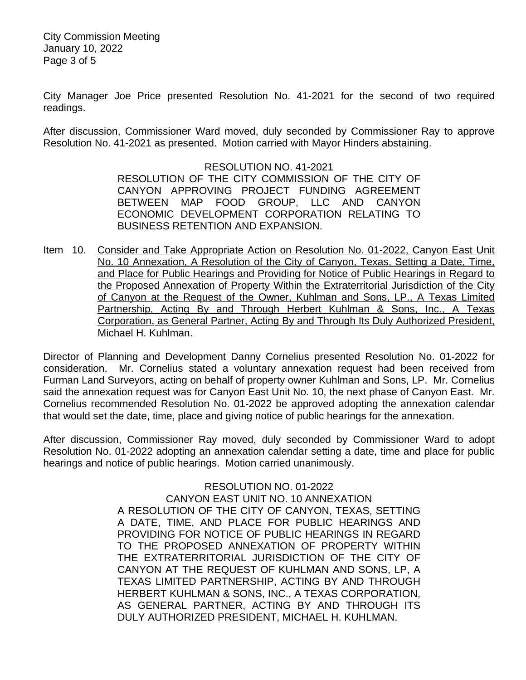City Commission Meeting January 10, 2022 Page 3 of 5

City Manager Joe Price presented Resolution No. 41-2021 for the second of two required readings.

After discussion, Commissioner Ward moved, duly seconded by Commissioner Ray to approve Resolution No. 41-2021 as presented. Motion carried with Mayor Hinders abstaining.

> RESOLUTION NO. 41-2021 RESOLUTION OF THE CITY COMMISSION OF THE CITY OF CANYON APPROVING PROJECT FUNDING AGREEMENT BETWEEN MAP FOOD GROUP, LLC AND CANYON ECONOMIC DEVELOPMENT CORPORATION RELATING TO BUSINESS RETENTION AND EXPANSION.

Item 10. Consider and Take Appropriate Action on Resolution No. 01-2022, Canyon East Unit No. 10 Annexation, A Resolution of the City of Canyon, Texas, Setting a Date, Time, and Place for Public Hearings and Providing for Notice of Public Hearings in Regard to the Proposed Annexation of Property Within the Extraterritorial Jurisdiction of the City of Canyon at the Request of the Owner, Kuhlman and Sons, LP., A Texas Limited Partnership, Acting By and Through Herbert Kuhlman & Sons, Inc., A Texas Corporation, as General Partner, Acting By and Through Its Duly Authorized President, Michael H. Kuhlman.

Director of Planning and Development Danny Cornelius presented Resolution No. 01-2022 for consideration. Mr. Cornelius stated a voluntary annexation request had been received from Furman Land Surveyors, acting on behalf of property owner Kuhlman and Sons, LP. Mr. Cornelius said the annexation request was for Canyon East Unit No. 10, the next phase of Canyon East. Mr. Cornelius recommended Resolution No. 01-2022 be approved adopting the annexation calendar that would set the date, time, place and giving notice of public hearings for the annexation.

After discussion, Commissioner Ray moved, duly seconded by Commissioner Ward to adopt Resolution No. 01-2022 adopting an annexation calendar setting a date, time and place for public hearings and notice of public hearings. Motion carried unanimously.

> RESOLUTION NO. 01-2022 CANYON EAST UNIT NO. 10 ANNEXATION A RESOLUTION OF THE CITY OF CANYON, TEXAS, SETTING A DATE, TIME, AND PLACE FOR PUBLIC HEARINGS AND PROVIDING FOR NOTICE OF PUBLIC HEARINGS IN REGARD TO THE PROPOSED ANNEXATION OF PROPERTY WITHIN THE EXTRATERRITORIAL JURISDICTION OF THE CITY OF CANYON AT THE REQUEST OF KUHLMAN AND SONS, LP, A TEXAS LIMITED PARTNERSHIP, ACTING BY AND THROUGH HERBERT KUHLMAN & SONS, INC., A TEXAS CORPORATION, AS GENERAL PARTNER, ACTING BY AND THROUGH ITS DULY AUTHORIZED PRESIDENT, MICHAEL H. KUHLMAN.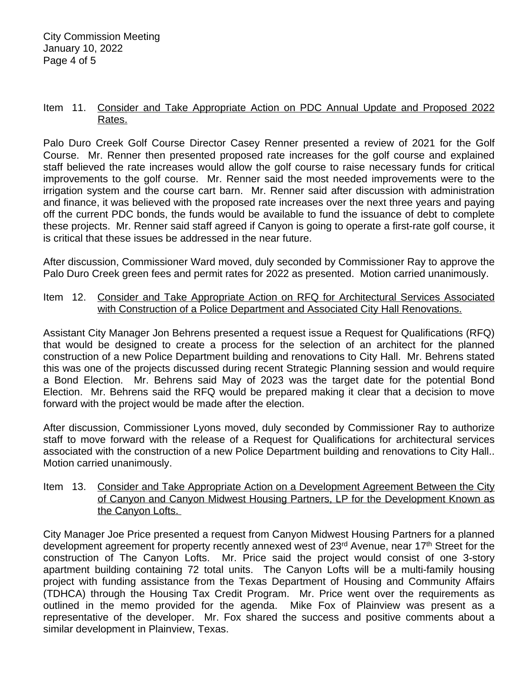#### Item 11. Consider and Take Appropriate Action on PDC Annual Update and Proposed 2022 Rates.

Palo Duro Creek Golf Course Director Casey Renner presented a review of 2021 for the Golf Course. Mr. Renner then presented proposed rate increases for the golf course and explained staff believed the rate increases would allow the golf course to raise necessary funds for critical improvements to the golf course. Mr. Renner said the most needed improvements were to the irrigation system and the course cart barn. Mr. Renner said after discussion with administration and finance, it was believed with the proposed rate increases over the next three years and paying off the current PDC bonds, the funds would be available to fund the issuance of debt to complete these projects. Mr. Renner said staff agreed if Canyon is going to operate a first-rate golf course, it is critical that these issues be addressed in the near future.

After discussion, Commissioner Ward moved, duly seconded by Commissioner Ray to approve the Palo Duro Creek green fees and permit rates for 2022 as presented. Motion carried unanimously.

## Item 12. Consider and Take Appropriate Action on RFQ for Architectural Services Associated with Construction of a Police Department and Associated City Hall Renovations.

Assistant City Manager Jon Behrens presented a request issue a Request for Qualifications (RFQ) that would be designed to create a process for the selection of an architect for the planned construction of a new Police Department building and renovations to City Hall. Mr. Behrens stated this was one of the projects discussed during recent Strategic Planning session and would require a Bond Election. Mr. Behrens said May of 2023 was the target date for the potential Bond Election. Mr. Behrens said the RFQ would be prepared making it clear that a decision to move forward with the project would be made after the election.

After discussion, Commissioner Lyons moved, duly seconded by Commissioner Ray to authorize staff to move forward with the release of a Request for Qualifications for architectural services associated with the construction of a new Police Department building and renovations to City Hall.. Motion carried unanimously.

#### Item 13. Consider and Take Appropriate Action on a Development Agreement Between the City of Canyon and Canyon Midwest Housing Partners, LP for the Development Known as the Canyon Lofts.

City Manager Joe Price presented a request from Canyon Midwest Housing Partners for a planned development agreement for property recently annexed west of 23<sup>rd</sup> Avenue, near 17<sup>th</sup> Street for the construction of The Canyon Lofts. Mr. Price said the project would consist of one 3-story apartment building containing 72 total units. The Canyon Lofts will be a multi-family housing project with funding assistance from the Texas Department of Housing and Community Affairs (TDHCA) through the Housing Tax Credit Program. Mr. Price went over the requirements as outlined in the memo provided for the agenda. Mike Fox of Plainview was present as a representative of the developer. Mr. Fox shared the success and positive comments about a similar development in Plainview, Texas.